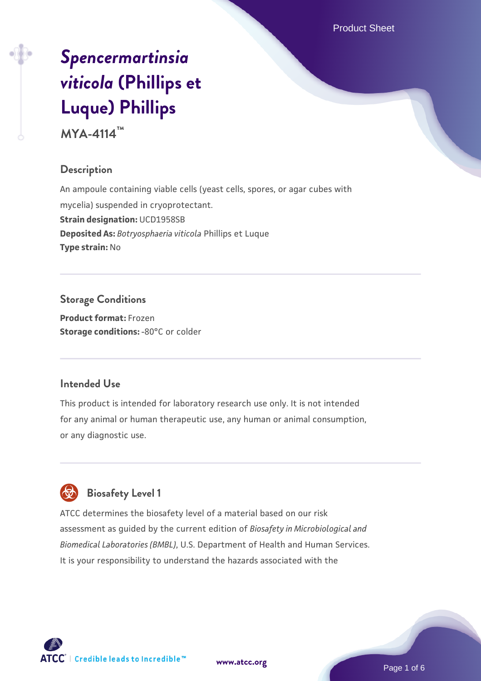Product Sheet

# *[Spencermartinsia](https://www.atcc.org/products/mya-4114) [viticola](https://www.atcc.org/products/mya-4114)* **[\(Phillips et](https://www.atcc.org/products/mya-4114) [Luque\) Phillips](https://www.atcc.org/products/mya-4114)**

**MYA-4114™**

## **Description**

An ampoule containing viable cells (yeast cells, spores, or agar cubes with mycelia) suspended in cryoprotectant. **Strain designation: UCD1958SB Deposited As:** *Botryosphaeria viticola* Phillips et Luque **Type strain:** No

**Storage Conditions Product format:** Frozen **Storage conditions: -80°C or colder** 

#### **Intended Use**

This product is intended for laboratory research use only. It is not intended for any animal or human therapeutic use, any human or animal consumption, or any diagnostic use.



## **Biosafety Level 1**

ATCC determines the biosafety level of a material based on our risk assessment as guided by the current edition of *Biosafety in Microbiological and Biomedical Laboratories (BMBL)*, U.S. Department of Health and Human Services. It is your responsibility to understand the hazards associated with the

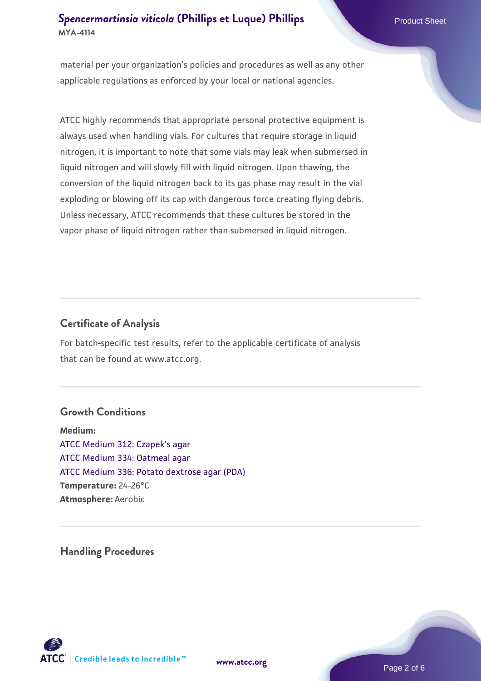## **[Spencermartinsia viticola](https://www.atcc.org/products/mya-4114) [\(Phillips et Luque\) Phillips](https://www.atcc.org/products/mya-4114) Product Sheet Product Sheet MYA-4114**

material per your organization's policies and procedures as well as any other applicable regulations as enforced by your local or national agencies.

ATCC highly recommends that appropriate personal protective equipment is always used when handling vials. For cultures that require storage in liquid nitrogen, it is important to note that some vials may leak when submersed in liquid nitrogen and will slowly fill with liquid nitrogen. Upon thawing, the conversion of the liquid nitrogen back to its gas phase may result in the vial exploding or blowing off its cap with dangerous force creating flying debris. Unless necessary, ATCC recommends that these cultures be stored in the vapor phase of liquid nitrogen rather than submersed in liquid nitrogen.

#### **Certificate of Analysis**

For batch-specific test results, refer to the applicable certificate of analysis that can be found at www.atcc.org.

#### **Growth Conditions**

**Medium:**  [ATCC Medium 312: Czapek's agar](https://www.atcc.org/-/media/product-assets/documents/microbial-media-formulations/3/1/2/atcc-medium-312.pdf?rev=4992717cc7f64a9dadaeb35a339cb643) [ATCC Medium 334: Oatmeal agar](https://www.atcc.org/-/media/product-assets/documents/microbial-media-formulations/3/3/4/atcc-medium-334.pdf?rev=e382a75a48794764902dd7457c97fc29) [ATCC Medium 336: Potato dextrose agar \(PDA\)](https://www.atcc.org/-/media/product-assets/documents/microbial-media-formulations/3/3/6/atcc-medium-336.pdf?rev=d9160ad44d934cd8b65175461abbf3b9) **Temperature:** 24-26°C **Atmosphere:** Aerobic

**Handling Procedures**



**[www.atcc.org](http://www.atcc.org)**

Page 2 of 6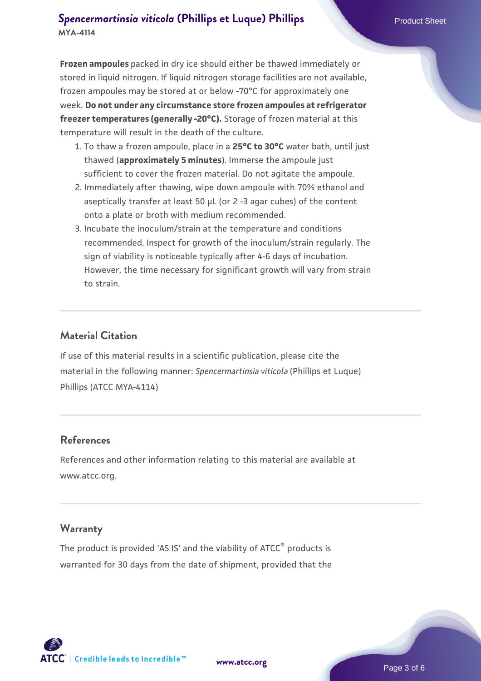## **[Spencermartinsia viticola](https://www.atcc.org/products/mya-4114) [\(Phillips et Luque\) Phillips](https://www.atcc.org/products/mya-4114) Product Sheet Product Sheet MYA-4114**

**Frozen ampoules** packed in dry ice should either be thawed immediately or stored in liquid nitrogen. If liquid nitrogen storage facilities are not available, frozen ampoules may be stored at or below -70°C for approximately one week. **Do not under any circumstance store frozen ampoules at refrigerator freezer temperatures (generally -20°C).** Storage of frozen material at this temperature will result in the death of the culture.

- 1. To thaw a frozen ampoule, place in a **25°C to 30°C** water bath, until just thawed (**approximately 5 minutes**). Immerse the ampoule just sufficient to cover the frozen material. Do not agitate the ampoule.
- 2. Immediately after thawing, wipe down ampoule with 70% ethanol and aseptically transfer at least 50 µL (or 2 -3 agar cubes) of the content onto a plate or broth with medium recommended.
- 3. Incubate the inoculum/strain at the temperature and conditions recommended. Inspect for growth of the inoculum/strain regularly. The sign of viability is noticeable typically after 4-6 days of incubation. However, the time necessary for significant growth will vary from strain to strain.

## **Material Citation**

If use of this material results in a scientific publication, please cite the material in the following manner: *Spencermartinsia viticola* (Phillips et Luque) Phillips (ATCC MYA-4114)

#### **References**

References and other information relating to this material are available at www.atcc.org.

#### **Warranty**

The product is provided 'AS IS' and the viability of ATCC<sup>®</sup> products is warranted for 30 days from the date of shipment, provided that the

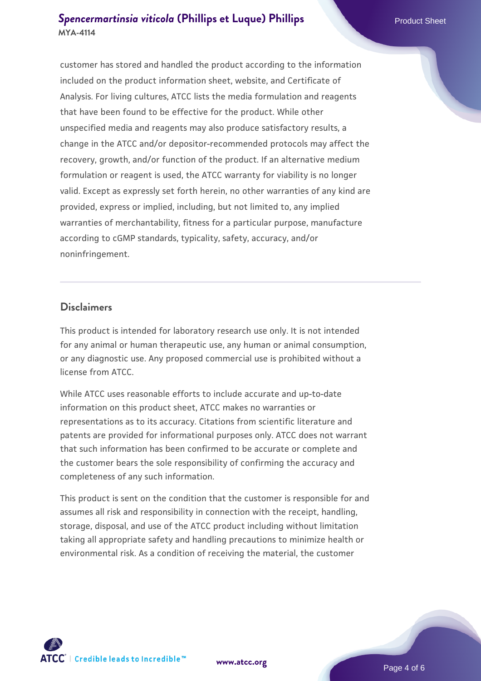## **[Spencermartinsia viticola](https://www.atcc.org/products/mya-4114) [\(Phillips et Luque\) Phillips](https://www.atcc.org/products/mya-4114) Product Sheet MYA-4114**

customer has stored and handled the product according to the information included on the product information sheet, website, and Certificate of Analysis. For living cultures, ATCC lists the media formulation and reagents that have been found to be effective for the product. While other unspecified media and reagents may also produce satisfactory results, a change in the ATCC and/or depositor-recommended protocols may affect the recovery, growth, and/or function of the product. If an alternative medium formulation or reagent is used, the ATCC warranty for viability is no longer valid. Except as expressly set forth herein, no other warranties of any kind are provided, express or implied, including, but not limited to, any implied warranties of merchantability, fitness for a particular purpose, manufacture according to cGMP standards, typicality, safety, accuracy, and/or noninfringement.

#### **Disclaimers**

This product is intended for laboratory research use only. It is not intended for any animal or human therapeutic use, any human or animal consumption, or any diagnostic use. Any proposed commercial use is prohibited without a license from ATCC.

While ATCC uses reasonable efforts to include accurate and up-to-date information on this product sheet, ATCC makes no warranties or representations as to its accuracy. Citations from scientific literature and patents are provided for informational purposes only. ATCC does not warrant that such information has been confirmed to be accurate or complete and the customer bears the sole responsibility of confirming the accuracy and completeness of any such information.

This product is sent on the condition that the customer is responsible for and assumes all risk and responsibility in connection with the receipt, handling, storage, disposal, and use of the ATCC product including without limitation taking all appropriate safety and handling precautions to minimize health or environmental risk. As a condition of receiving the material, the customer



**[www.atcc.org](http://www.atcc.org)**

Page 4 of 6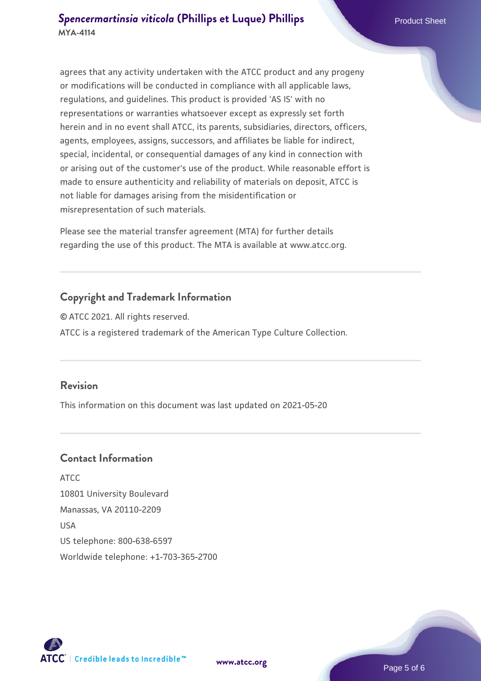agrees that any activity undertaken with the ATCC product and any progeny or modifications will be conducted in compliance with all applicable laws, regulations, and guidelines. This product is provided 'AS IS' with no representations or warranties whatsoever except as expressly set forth herein and in no event shall ATCC, its parents, subsidiaries, directors, officers, agents, employees, assigns, successors, and affiliates be liable for indirect, special, incidental, or consequential damages of any kind in connection with or arising out of the customer's use of the product. While reasonable effort is made to ensure authenticity and reliability of materials on deposit, ATCC is not liable for damages arising from the misidentification or misrepresentation of such materials.

Please see the material transfer agreement (MTA) for further details regarding the use of this product. The MTA is available at www.atcc.org.

## **Copyright and Trademark Information**

© ATCC 2021. All rights reserved. ATCC is a registered trademark of the American Type Culture Collection.

#### **Revision**

This information on this document was last updated on 2021-05-20

#### **Contact Information**

ATCC 10801 University Boulevard Manassas, VA 20110-2209 USA US telephone: 800-638-6597 Worldwide telephone: +1-703-365-2700